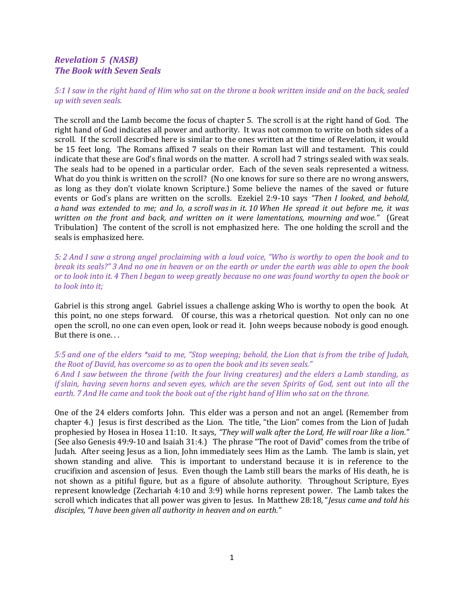## Revelation 5 (NASB) The Book with Seven Seals

5:1 I saw in the right hand of Him who sat on the throne a book written inside and on the back, sealed up with seven seals.

The scroll and the Lamb become the focus of chapter 5. The scroll is at the right hand of God. The right hand of God indicates all power and authority. It was not common to write on both sides of a scroll. If the scroll described here is similar to the ones written at the time of Revelation, it would be 15 feet long. The Romans affixed 7 seals on their Roman last will and testament. This could indicate that these are God's final words on the matter. A scroll had 7 strings sealed with wax seals. The seals had to be opened in a particular order. Each of the seven seals represented a witness. What do you think is written on the scroll? (No one knows for sure so there are no wrong answers, as long as they don't violate known Scripture.) Some believe the names of the saved or future events or God's plans are written on the scrolls. Ezekiel 2:9-10 says "Then I looked, and behold, a hand was extended to me; and lo, a scroll was in it. 10 When He spread it out before me, it was written on the front and back, and written on it were lamentations, mourning and woe." (Great Tribulation) The content of the scroll is not emphasized here. The one holding the scroll and the seals is emphasized here.

5: 2 And I saw a strong angel proclaiming with a loud voice, "Who is worthy to open the book and to break its seals?" 3 And no one in heaven or on the earth or under the earth was able to open the book or to look into it. 4 Then I began to weep greatly because no one was found worthy to open the book or to look into it;

Gabriel is this strong angel. Gabriel issues a challenge asking Who is worthy to open the book. At this point, no one steps forward. Of course, this was a rhetorical question. Not only can no one open the scroll, no one can even open, look or read it. John weeps because nobody is good enough. But there is one. . .

5:5 and one of the elders \*said to me, "Stop weeping; behold, the Lion that is from the tribe of Judah, the Root of David, has overcome so as to open the book and its seven seals." 6 And I saw between the throne (with the four living creatures) and the elders a Lamb standing, as if slain, having seven horns and seven eyes, which are the seven Spirits of God, sent out into all the earth. 7 And He came and took the book out of the right hand of Him who sat on the throne.

One of the 24 elders comforts John. This elder was a person and not an angel. (Remember from chapter 4.) Jesus is first described as the Lion. The title, "the Lion" comes from the Lion of Judah prophesied by Hosea in Hosea 11:10. It says, "They will walk after the Lord, He will roar like a lion." (See also Genesis 49:9-10 and Isaiah 31:4.) The phrase "The root of David" comes from the tribe of Judah. After seeing Jesus as a lion, John immediately sees Him as the Lamb. The lamb is slain, yet shown standing and alive. This is important to understand because it is in reference to the crucifixion and ascension of Jesus. Even though the Lamb still bears the marks of His death, he is not shown as a pitiful figure, but as a figure of absolute authority. Throughout Scripture, Eyes represent knowledge (Zechariah 4:10 and 3:9) while horns represent power. The Lamb takes the scroll which indicates that all power was given to Jesus. In Matthew 28:18, "Jesus came and told his disciples, "I have been given all authority in heaven and on earth."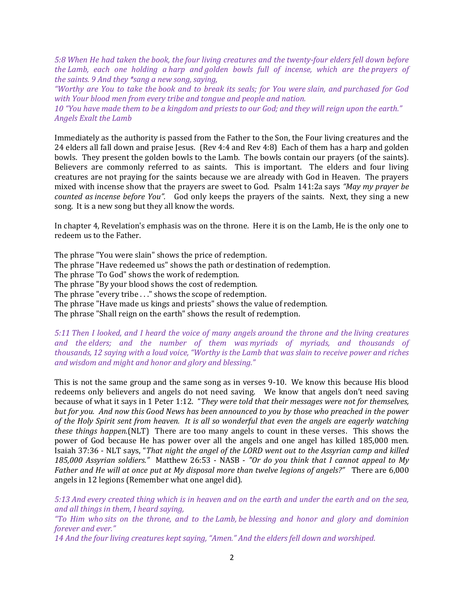5:8 When He had taken the book, the four living creatures and the twenty-four elders fell down before the Lamb, each one holding a harp and golden bowls full of incense, which are the prayers of the saints. 9 And they \*sang a new song, saying,

"Worthy are You to take the book and to break its seals; for You were slain, and purchased for God with Your blood men from every tribe and tongue and people and nation.

10 "You have made them to be a kingdom and priests to our God; and they will reign upon the earth." Angels Exalt the Lamb

Immediately as the authority is passed from the Father to the Son, the Four living creatures and the 24 elders all fall down and praise Jesus. (Rev 4:4 and Rev 4:8) Each of them has a harp and golden bowls. They present the golden bowls to the Lamb. The bowls contain our prayers (of the saints). Believers are commonly referred to as saints. This is important. The elders and four living creatures are not praying for the saints because we are already with God in Heaven. The prayers mixed with incense show that the prayers are sweet to God. Psalm 141:2a says "May my prayer be counted as incense before You". God only keeps the prayers of the saints. Next, they sing a new song. It is a new song but they all know the words.

In chapter 4, Revelation's emphasis was on the throne. Here it is on the Lamb, He is the only one to redeem us to the Father.

The phrase "You were slain" shows the price of redemption.

The phrase "Have redeemed us" shows the path or destination of redemption.

The phrase 'To God" shows the work of redemption.

The phrase "By your blood shows the cost of redemption.

The phrase "every tribe . . ." shows the scope of redemption.

The phrase "Have made us kings and priests" shows the value of redemption.

The phrase "Shall reign on the earth" shows the result of redemption.

## 5:11 Then I looked, and I heard the voice of many angels around the throne and the living creatures and the elders; and the number of them was myriads of myriads, and thousands of thousands, 12 saying with a loud voice, "Worthy is the Lamb that was slain to receive power and riches and wisdom and might and honor and glory and blessing."

This is not the same group and the same song as in verses 9-10. We know this because His blood redeems only believers and angels do not need saving. We know that angels don't need saving because of what it says in 1 Peter 1:12. "They were told that their messages were not for themselves, but for you. And now this Good News has been announced to you by those who preached in the power of the Holy Spirit sent from heaven. It is all so wonderful that even the angels are eagerly watching these things happen.(NLT) There are too many angels to count in these verses. This shows the power of God because He has power over all the angels and one angel has killed 185,000 men. Isaiah 37:36 - NLT says, "That night the angel of the LORD went out to the Assyrian camp and killed 185,000 Assyrian soldiers." Matthew 26:53 - NASB - "Or do you think that I cannot appeal to My Father and He will at once put at My disposal more than twelve legions of angels?" There are 6,000 angels in 12 legions (Remember what one angel did).

5:13 And every created thing which is in heaven and on the earth and under the earth and on the sea, and all things in them, I heard saying,

"To Him who sits on the throne, and to the Lamb, be blessing and honor and glory and dominion forever and ever."

14 And the four living creatures kept saying, "Amen." And the elders fell down and worshiped.